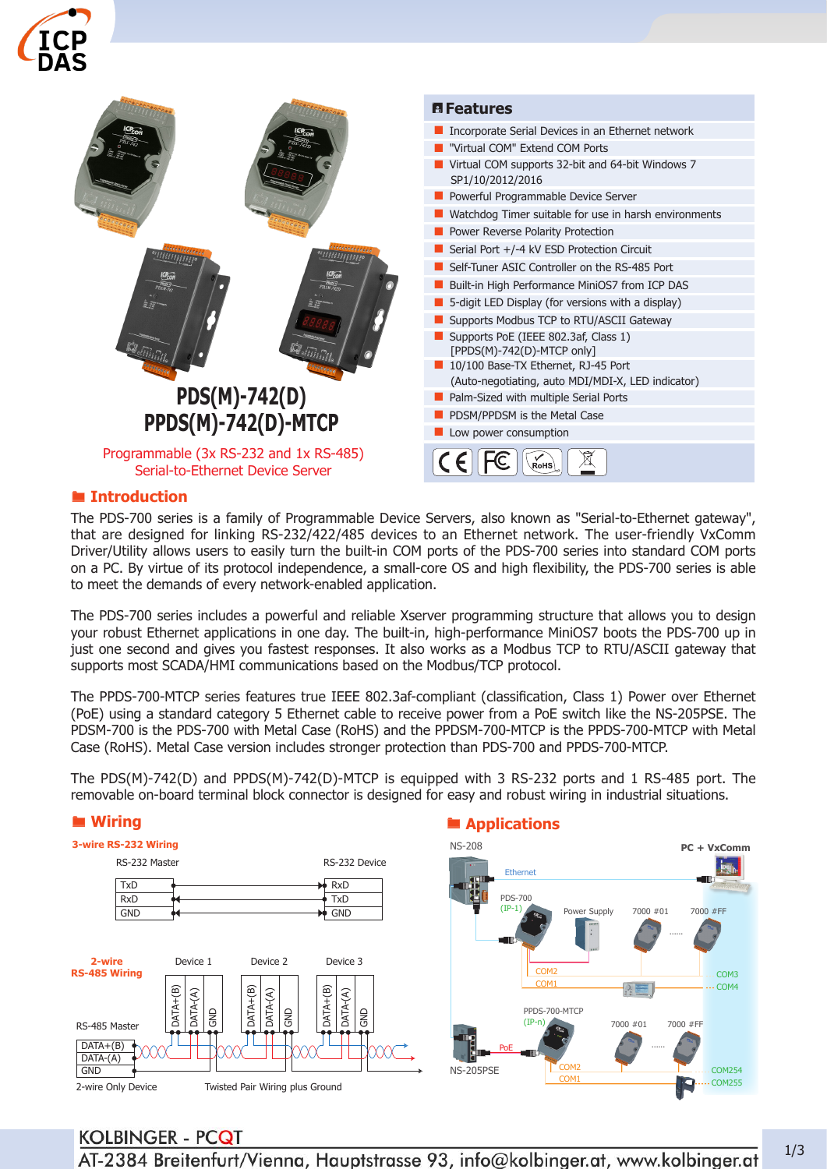



#### ® **Introduction**

The PDS-700 series is a family of Programmable Device Servers, also known as "Serial-to-Ethernet gateway", that are designed for linking RS-232/422/485 devices to an Ethernet network. The user-friendly VxComm Driver/Utility allows users to easily turn the built-in COM ports of the PDS-700 series into standard COM ports on a PC. By virtue of its protocol independence, a small-core OS and high flexibility, the PDS-700 series is able to meet the demands of every network-enabled application.

The PDS-700 series includes a powerful and reliable Xserver programming structure that allows you to design your robust Ethernet applications in one day. The built-in, high-performance MiniOS7 boots the PDS-700 up in just one second and gives you fastest responses. It also works as a Modbus TCP to RTU/ASCII gateway that supports most SCADA/HMI communications based on the Modbus/TCP protocol.

The PPDS-700-MTCP series features true IEEE 802.3af-compliant (classification, Class 1) Power over Ethernet (PoE) using a standard category 5 Ethernet cable to receive power from a PoE switch like the NS-205PSE. The PDSM-700 is the PDS-700 with Metal Case (RoHS) and the PPDSM-700-MTCP is the PPDS-700-MTCP with Metal Case (RoHS). Metal Case version includes stronger protection than PDS-700 and PPDS-700-MTCP.

The PDS(M)-742(D) and PPDS(M)-742(D)-MTCP is equipped with 3 RS-232 ports and 1 RS-485 port. The removable on-board terminal block connector is designed for easy and robust wiring in industrial situations.



# **KOLBINGER - PCQT**

AT-2384 Breitenfurt/Vienna, Hauptstrasse 93, info@kolbinger.at, www.kolbinger.at 1/3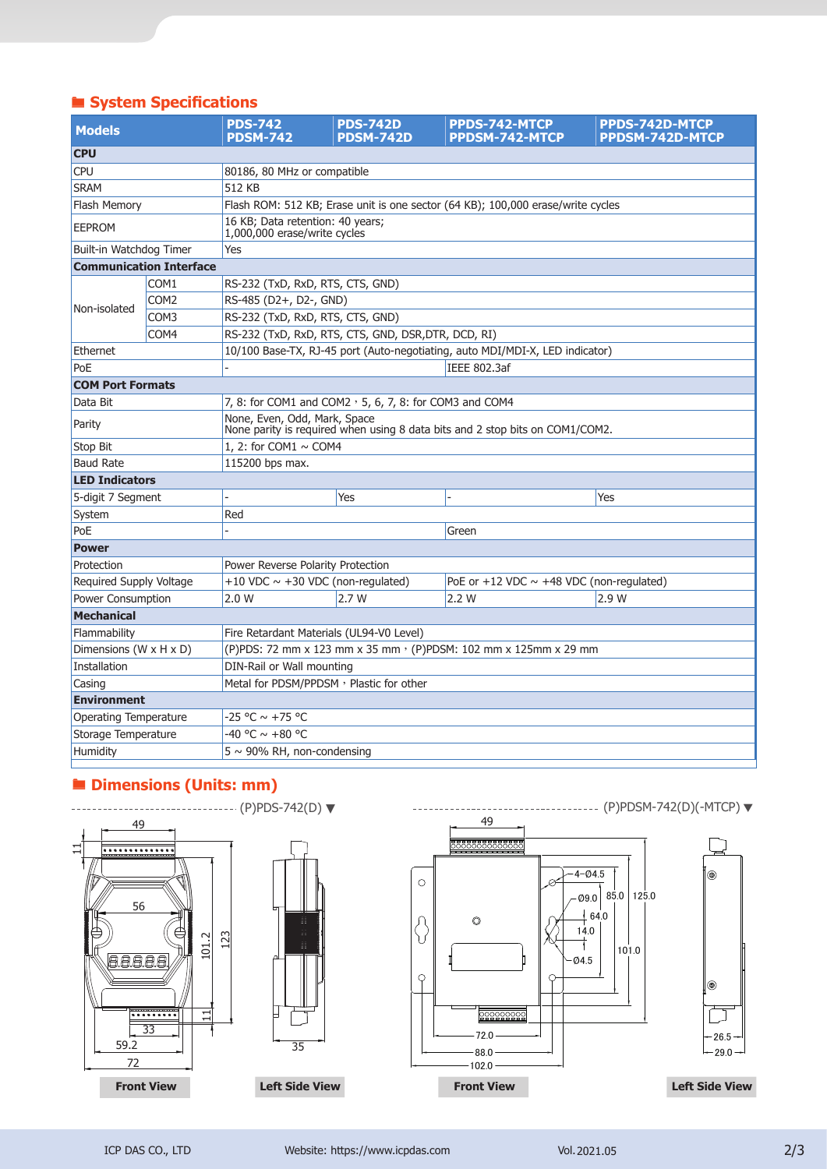# ® **System Specifications**

| <b>Models</b>                  |                  | <b>PDS-742</b><br><b>PDSM-742</b>                                                                            | <b>PDS-742D</b><br><b>PDSM-742D</b> | PPDS-742-MTCP<br><b>PPDSM-742-MTCP</b>          | <b>PPDS-742D-MTCP</b><br><b>PPDSM-742D-MTCP</b> |  |  |
|--------------------------------|------------------|--------------------------------------------------------------------------------------------------------------|-------------------------------------|-------------------------------------------------|-------------------------------------------------|--|--|
| <b>CPU</b>                     |                  |                                                                                                              |                                     |                                                 |                                                 |  |  |
| <b>CPU</b>                     |                  | 80186, 80 MHz or compatible                                                                                  |                                     |                                                 |                                                 |  |  |
| <b>SRAM</b>                    |                  | 512 KB                                                                                                       |                                     |                                                 |                                                 |  |  |
| Flash Memory                   |                  | Flash ROM: 512 KB; Erase unit is one sector (64 KB); 100,000 erase/write cycles                              |                                     |                                                 |                                                 |  |  |
| <b>EEPROM</b>                  |                  | 16 KB; Data retention: 40 years;<br>1,000,000 erase/write cycles                                             |                                     |                                                 |                                                 |  |  |
| Built-in Watchdog Timer        |                  | Yes                                                                                                          |                                     |                                                 |                                                 |  |  |
| <b>Communication Interface</b> |                  |                                                                                                              |                                     |                                                 |                                                 |  |  |
|                                | COM <sub>1</sub> | RS-232 (TxD, RxD, RTS, CTS, GND)                                                                             |                                     |                                                 |                                                 |  |  |
| Non-isolated                   | COM <sub>2</sub> | RS-485 (D2+, D2-, GND)                                                                                       |                                     |                                                 |                                                 |  |  |
|                                | COM3             | RS-232 (TxD, RxD, RTS, CTS, GND)                                                                             |                                     |                                                 |                                                 |  |  |
|                                | COM <sub>4</sub> | RS-232 (TxD, RxD, RTS, CTS, GND, DSR, DTR, DCD, RI)                                                          |                                     |                                                 |                                                 |  |  |
| Ethernet                       |                  | 10/100 Base-TX, RJ-45 port (Auto-negotiating, auto MDI/MDI-X, LED indicator)                                 |                                     |                                                 |                                                 |  |  |
| PoE                            |                  | IEEE 802.3af                                                                                                 |                                     |                                                 |                                                 |  |  |
| <b>COM Port Formats</b>        |                  |                                                                                                              |                                     |                                                 |                                                 |  |  |
| Data Bit                       |                  | 7, 8: for COM1 and COM2 $\cdot$ 5, 6, 7, 8: for COM3 and COM4                                                |                                     |                                                 |                                                 |  |  |
| Parity                         |                  | None, Even, Odd, Mark, Space<br>None parity is required when using 8 data bits and 2 stop bits on COM1/COM2. |                                     |                                                 |                                                 |  |  |
| Stop Bit                       |                  | 1, 2: for COM1 $\sim$ COM4                                                                                   |                                     |                                                 |                                                 |  |  |
| <b>Baud Rate</b>               |                  | 115200 bps max.                                                                                              |                                     |                                                 |                                                 |  |  |
| <b>LED Indicators</b>          |                  |                                                                                                              |                                     |                                                 |                                                 |  |  |
| 5-digit 7 Segment              |                  |                                                                                                              | Yes                                 |                                                 | Yes                                             |  |  |
| System                         |                  | Red                                                                                                          |                                     |                                                 |                                                 |  |  |
| PoE                            |                  | Green                                                                                                        |                                     |                                                 |                                                 |  |  |
| <b>Power</b>                   |                  |                                                                                                              |                                     |                                                 |                                                 |  |  |
| Protection                     |                  | Power Reverse Polarity Protection                                                                            |                                     |                                                 |                                                 |  |  |
| Required Supply Voltage        |                  | +10 VDC $\sim$ +30 VDC (non-regulated)                                                                       |                                     | PoE or $+12$ VDC $\sim$ +48 VDC (non-regulated) |                                                 |  |  |
| Power Consumption              |                  | 2.0 W                                                                                                        | 2.7 W                               | 2.2 W                                           | 2.9 W                                           |  |  |
| <b>Mechanical</b>              |                  |                                                                                                              |                                     |                                                 |                                                 |  |  |
| Flammability                   |                  | Fire Retardant Materials (UL94-V0 Level)                                                                     |                                     |                                                 |                                                 |  |  |
| Dimensions (W x H x D)         |                  | (P)PDS: 72 mm x 123 mm x 35 mm · (P)PDSM: 102 mm x 125mm x 29 mm                                             |                                     |                                                 |                                                 |  |  |
| Installation                   |                  | DIN-Rail or Wall mounting                                                                                    |                                     |                                                 |                                                 |  |  |
| Casing                         |                  | Metal for PDSM/PPDSM, Plastic for other                                                                      |                                     |                                                 |                                                 |  |  |
| <b>Environment</b>             |                  |                                                                                                              |                                     |                                                 |                                                 |  |  |
| Operating Temperature          |                  | -25 °C ~ +75 °C                                                                                              |                                     |                                                 |                                                 |  |  |
| Storage Temperature            |                  | -40 °C $\sim$ +80 °C                                                                                         |                                     |                                                 |                                                 |  |  |
| Humidity                       |                  | $5 \sim 90\%$ RH, non-condensing                                                                             |                                     |                                                 |                                                 |  |  |

# ® **Dimensions (Units: mm)**